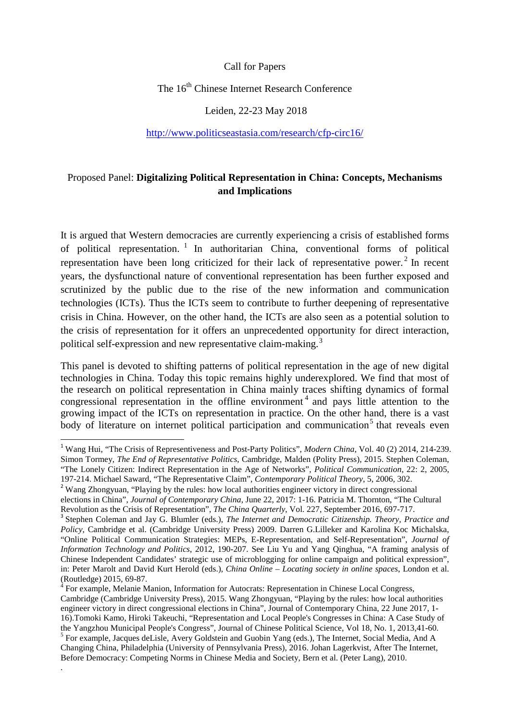#### Call for Papers

# The 16<sup>th</sup> Chinese Internet Research Conference

#### Leiden, 22-23 May 2018

#### <http://www.politicseastasia.com/research/cfp-circ16/>

## Proposed Panel: **Digitalizing Political Representation in China: Concepts, Mechanisms and Implications**

It is argued that Western democracies are currently experiencing a crisis of established forms of political representation.  $\frac{1}{1}$  $\frac{1}{1}$  $\frac{1}{1}$  In authoritarian China, conventional forms of political representation have been long criticized for their lack of representative power.<sup>[2](#page-0-1)</sup> In recent years, the dysfunctional nature of conventional representation has been further exposed and scrutinized by the public due to the rise of the new information and communication technologies (ICTs). Thus the ICTs seem to contribute to further deepening of representative crisis in China. However, on the other hand, the ICTs are also seen as a potential solution to the crisis of representation for it offers an unprecedented opportunity for direct interaction, political self-expression and new representative claim-making.<sup>[3](#page-0-2)</sup>

This panel is devoted to shifting patterns of political representation in the age of new digital technologies in China. Today this topic remains highly underexplored. We find that most of the research on political representation in China mainly traces shifting dynamics of formal congressional representation in the offline environment<sup>[4](#page-0-3)</sup> and pays little attention to the growing impact of the ICTs on representation in practice. On the other hand, there is a vast body of literature on internet political participation and communication<sup>[5](#page-0-4)</sup> that reveals even

.

<span id="page-0-0"></span> <sup>1</sup> Wang Hui, "The Crisis of Representiveness and Post-Party Politics", *Modern China*, Vol. 40 (2) 2014, 214-239. Simon Tormey, *The End of Representative Politics*, Cambridge, Malden (Polity Press), 2015. Stephen Coleman, "The Lonely Citizen: Indirect Representation in the Age of Networks", *Political Communication*, 22: 2, 2005,

<span id="page-0-1"></span><sup>&</sup>lt;sup>2</sup> Wang Zhongyuan, "Playing by the rules: how local authorities engineer victory in direct congressional elections in China", *Journal of Contemporary China*, June 22, 2017: 1-16. Patricia M. Thornton, "The Cultural

<span id="page-0-2"></span>Revolution as the Crisis of Representation", *The China Quarterly*, Vol. 227, September 2016, 697-717.<br><sup>3</sup> Stephen Coleman and Jay G. Blumler (eds.), *The Internet and Democratic Citizenship. Theory, Practice and Policy*, Cambridge et al. (Cambridge University Press) 2009. Darren G.Lilleker and Karolina Koc Michalska, "Online Political Communication Strategies: MEPs, E-Representation, and Self-Representation", *Journal of Information Technology and Politics*, 2012, 190-207. See Liu Yu and Yang Qinghua, "A framing analysis of Chinese Independent Candidates' strategic use of microblogging for online campaign and political expression", in: Peter Marolt and David Kurt Herold (eds.), *China Online – Locating society in online spaces*, London et al. (Routledge) 2015, 69-87. <sup>4</sup> For example, Melanie Manion, Information for Autocrats: Representation in Chinese Local Congress,

<span id="page-0-3"></span>Cambridge (Cambridge University Press), 2015. Wang Zhongyuan, "Playing by the rules: how local authorities engineer victory in direct congressional elections in China", Journal of Contemporary China, 22 June 2017, 1- 16).Tomoki Kamo, Hiroki Takeuchi, "Representation and Local People's Congresses in China: A Case Study of

the Yangzhou Municipal People's Congress", Journal of Chinese Political Science, Vol 18, No. 1, 2013,41-60.<br><sup>5</sup> For example, Jacques deLisle, Avery Goldstein and Guobin Yang (eds.), The Internet, Social Media, And A

<span id="page-0-4"></span>Changing China, Philadelphia (University of Pennsylvania Press), 2016. Johan Lagerkvist, After The Internet, Before Democracy: Competing Norms in Chinese Media and Society, Bern et al. (Peter Lang), 2010.